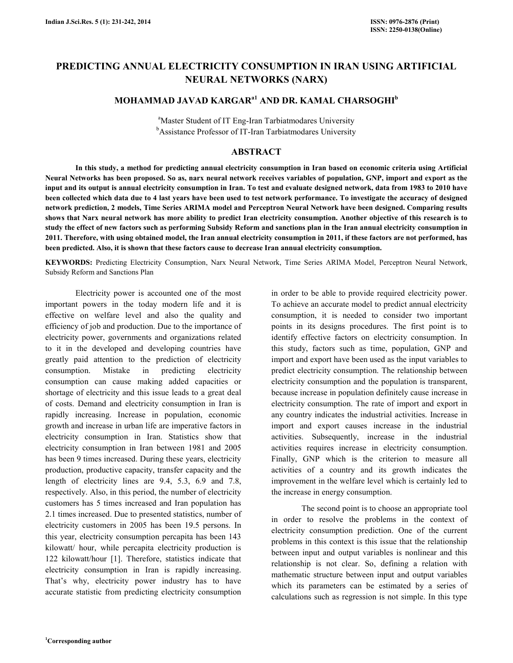# PREDICTING ANNUAL ELECTRICITY CONSUMPTION IN IRAN USING ARTIFICIAL NEURAL NETWORKS (NARX)

# MOHAMMAD JAVAD KARGAR<sup>a1</sup> AND DR. KAMAL CHARSOGHI<sup>b</sup>

<sup>a</sup>Master Student of IT Eng-Iran Tarbiatmodares University <sup>b</sup>Assistance Professor of IT-Iran Tarbiatmodares University

## ABSTRACT

 In this study, a method for predicting annual electricity consumption in Iran based on economic criteria using Artificial Neural Networks has been proposed. So as, narx neural network receives variables of population, GNP, import and export as the input and its output is annual electricity consumption in Iran. To test and evaluate designed network, data from 1983 to 2010 have been collected which data due to 4 last years have been used to test network performance. To investigate the accuracy of designed network prediction, 2 models, Time Series ARIMA model and Perceptron Neural Network have been designed. Comparing results shows that Narx neural network has more ability to predict Iran electricity consumption. Another objective of this research is to study the effect of new factors such as performing Subsidy Reform and sanctions plan in the Iran annual electricity consumption in 2011. Therefore, with using obtained model, the Iran annual electricity consumption in 2011, if these factors are not performed, has been predicted. Also, it is shown that these factors cause to decrease Iran annual electricity consumption.

KEYWORDS: Predicting Electricity Consumption, Narx Neural Network, Time Series ARIMA Model, Perceptron Neural Network, Subsidy Reform and Sanctions Plan

 Electricity power is accounted one of the most important powers in the today modern life and it is effective on welfare level and also the quality and efficiency of job and production. Due to the importance of electricity power, governments and organizations related to it in the developed and developing countries have greatly paid attention to the prediction of electricity consumption. Mistake in predicting electricity consumption can cause making added capacities or shortage of electricity and this issue leads to a great deal of costs. Demand and electricity consumption in Iran is rapidly increasing. Increase in population, economic growth and increase in urban life are imperative factors in electricity consumption in Iran. Statistics show that electricity consumption in Iran between 1981 and 2005 has been 9 times increased. During these years, electricity production, productive capacity, transfer capacity and the length of electricity lines are 9.4, 5.3, 6.9 and 7.8, respectively. Also, in this period, the number of electricity customers has 5 times increased and Iran population has 2.1 times increased. Due to presented statistics, number of electricity customers in 2005 has been 19.5 persons. In this year, electricity consumption percapita has been 143 kilowatt/ hour, while percapita electricity production is 122 kilowatt/hour [1]. Therefore, statistics indicate that electricity consumption in Iran is rapidly increasing. That's why, electricity power industry has to have accurate statistic from predicting electricity consumption in order to be able to provide required electricity power. To achieve an accurate model to predict annual electricity consumption, it is needed to consider two important points in its designs procedures. The first point is to identify effective factors on electricity consumption. In this study, factors such as time, population, GNP and import and export have been used as the input variables to predict electricity consumption. The relationship between electricity consumption and the population is transparent, because increase in population definitely cause increase in electricity consumption. The rate of import and export in any country indicates the industrial activities. Increase in import and export causes increase in the industrial activities. Subsequently, increase in the industrial activities requires increase in electricity consumption. Finally, GNP which is the criterion to measure all activities of a country and its growth indicates the improvement in the welfare level which is certainly led to the increase in energy consumption.

 The second point is to choose an appropriate tool in order to resolve the problems in the context of electricity consumption prediction. One of the current problems in this context is this issue that the relationship between input and output variables is nonlinear and this relationship is not clear. So, defining a relation with mathematic structure between input and output variables which its parameters can be estimated by a series of calculations such as regression is not simple. In this type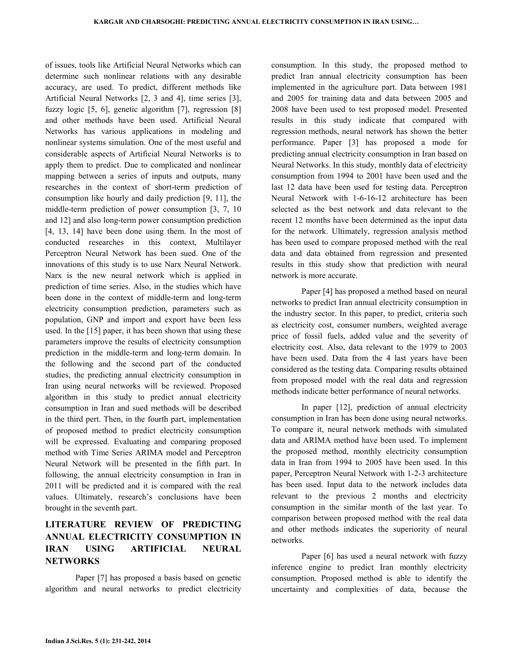of issues, tools like Artificial Neural Networks which can determine such nonlinear relations with any desirable accuracy, are used. To predict, different methods like Artificial Neural Networks [2, 3 and 4], time series [3], fuzzy logic [5, 6], genetic algorithm [7], regression [8] and other methods have been used. Artificial Neural Networks has various applications in modeling and nonlinear systems simulation. One of the most useful and considerable aspects of Artificial Neural Networks is to apply them to predict. Due to complicated and nonlinear mapping between a series of inputs and outputs, many researches in the context of short-term prediction of consumption like hourly and daily prediction [9, 11], the middle-term prediction of power consumption [3, 7, 10 and 12] and also long-term power consumption prediction [4, 13, 14] have been done using them. In the most of conducted researches in this context, Multilayer Perceptron Neural Network has been sued. One of the innovations of this study is to use Narx Neural Network. Narx is the new neural network which is applied in prediction of time series. Also, in the studies which have been done in the context of middle-term and long-term electricity consumption prediction, parameters such as population, GNP and import and export have been less used. In the [15] paper, it has been shown that using these parameters improve the results of electricity consumption prediction in the middle-term and long-term domain. In the following and the second part of the conducted studies, the predicting annual electricity consumption in Iran using neural networks will be reviewed. Proposed algorithm in this study to predict annual electricity consumption in Iran and sued methods will be described in the third pert. Then, in the fourth part, implementation of proposed method to predict electricity consumption will be expressed. Evaluating and comparing proposed method with Time Series ARIMA model and Perceptron Neural Network will be presented in the fifth part. In following, the annual electricity consumption in Iran in 2011 will be predicted and it is compared with the real values. Ultimately, research's conclusions have been brought in the seventh part.

## LITERATURE REVIEW OF PREDICTING ANNUAL ELECTRICITY CONSUMPTION IN IRAN USING ARTIFICIAL NEURAL **NETWORKS**

 Paper [7] has proposed a basis based on genetic algorithm and neural networks to predict electricity consumption. In this study, the proposed method to predict Iran annual electricity consumption has been implemented in the agriculture part. Data between 1981 and 2005 for training data and data between 2005 and 2008 have been used to test proposed model. Presented results in this study indicate that compared with regression methods, neural network has shown the better performance. Paper [3] has proposed a mode for predicting annual electricity consumption in Iran based on Neural Networks. In this study, monthly data of electricity consumption from 1994 to 2001 have been used and the last 12 data have been used for testing data. Perceptron Neural Network with 1-6-16-12 architecture has been selected as the best network and data relevant to the recent 12 months have been determined as the input data for the network. Ultimately, regression analysis method has been used to compare proposed method with the real data and data obtained from regression and presented results in this study show that prediction with neural network is more accurate.

 Paper [4] has proposed a method based on neural networks to predict Iran annual electricity consumption in the industry sector. In this paper, to predict, criteria such as electricity cost, consumer numbers, weighted average price of fossil fuels, added value and the severity of electricity cost. Also, data relevant to the 1979 to 2003 have been used. Data from the 4 last years have been considered as the testing data. Comparing results obtained from proposed model with the real data and regression methods indicate better performance of neural networks.

 In paper [12], prediction of annual electricity consumption in Iran has been done using neural networks. To compare it, neural network methods with simulated data and ARIMA method have been used. To implement the proposed method, monthly electricity consumption data in Iran from 1994 to 2005 have been used. In this paper, Perceptron Neural Network with 1-2-3 architecture has been used. Input data to the network includes data relevant to the previous 2 months and electricity consumption in the similar month of the last year. To comparison between proposed method with the real data and other methods indicates the superiority of neural networks.

 Paper [6] has used a neural network with fuzzy inference engine to predict Iran monthly electricity consumption. Proposed method is able to identify the uncertainty and complexities of data, because the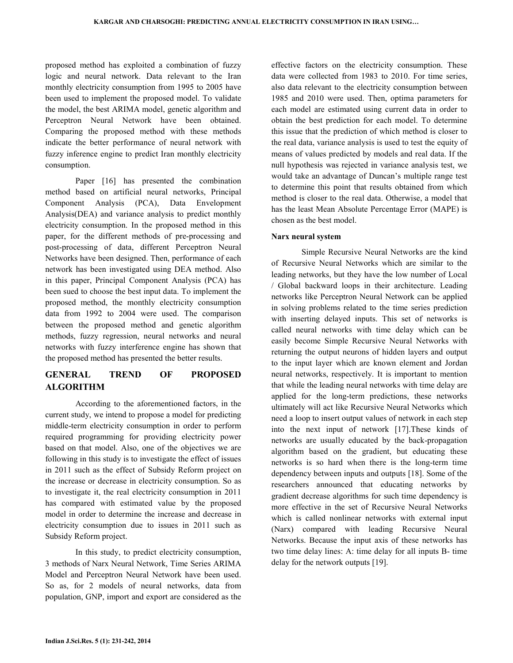proposed method has exploited a combination of fuzzy logic and neural network. Data relevant to the Iran monthly electricity consumption from 1995 to 2005 have been used to implement the proposed model. To validate the model, the best ARIMA model, genetic algorithm and Perceptron Neural Network have been obtained. Comparing the proposed method with these methods indicate the better performance of neural network with fuzzy inference engine to predict Iran monthly electricity consumption.

 Paper [16] has presented the combination method based on artificial neural networks, Principal Component Analysis (PCA), Data Envelopment Analysis(DEA) and variance analysis to predict monthly electricity consumption. In the proposed method in this paper, for the different methods of pre-processing and post-processing of data, different Perceptron Neural Networks have been designed. Then, performance of each network has been investigated using DEA method. Also in this paper, Principal Component Analysis (PCA) has been sued to choose the best input data. To implement the proposed method, the monthly electricity consumption data from 1992 to 2004 were used. The comparison between the proposed method and genetic algorithm methods, fuzzy regression, neural networks and neural networks with fuzzy interference engine has shown that the proposed method has presented the better results.

## GENERAL TREND OF PROPOSED ALGORITHM

 According to the aforementioned factors, in the current study, we intend to propose a model for predicting middle-term electricity consumption in order to perform required programming for providing electricity power based on that model. Also, one of the objectives we are following in this study is to investigate the effect of issues in 2011 such as the effect of Subsidy Reform project on the increase or decrease in electricity consumption. So as to investigate it, the real electricity consumption in 2011 has compared with estimated value by the proposed model in order to determine the increase and decrease in electricity consumption due to issues in 2011 such as Subsidy Reform project.

 In this study, to predict electricity consumption, 3 methods of Narx Neural Network, Time Series ARIMA Model and Perceptron Neural Network have been used. So as, for 2 models of neural networks, data from population, GNP, import and export are considered as the

effective factors on the electricity consumption. These data were collected from 1983 to 2010. For time series, also data relevant to the electricity consumption between 1985 and 2010 were used. Then, optima parameters for each model are estimated using current data in order to obtain the best prediction for each model. To determine this issue that the prediction of which method is closer to the real data, variance analysis is used to test the equity of means of values predicted by models and real data. If the null hypothesis was rejected in variance analysis test, we would take an advantage of Duncan's multiple range test to determine this point that results obtained from which method is closer to the real data. Otherwise, a model that has the least Mean Absolute Percentage Error (MAPE) is chosen as the best model.

### Narx neural system

 Simple Recursive Neural Networks are the kind of Recursive Neural Networks which are similar to the leading networks, but they have the low number of Local / Global backward loops in their architecture. Leading networks like Perceptron Neural Network can be applied in solving problems related to the time series prediction with inserting delayed inputs. This set of networks is called neural networks with time delay which can be easily become Simple Recursive Neural Networks with returning the output neurons of hidden layers and output to the input layer which are known element and Jordan neural networks, respectively. It is important to mention that while the leading neural networks with time delay are applied for the long-term predictions, these networks ultimately will act like Recursive Neural Networks which need a loop to insert output values of network in each step into the next input of network [17].These kinds of networks are usually educated by the back-propagation algorithm based on the gradient, but educating these networks is so hard when there is the long-term time dependency between inputs and outputs [18]. Some of the researchers announced that educating networks by gradient decrease algorithms for such time dependency is more effective in the set of Recursive Neural Networks which is called nonlinear networks with external input (Narx) compared with leading Recursive Neural Networks. Because the input axis of these networks has two time delay lines: A: time delay for all inputs B- time delay for the network outputs [19].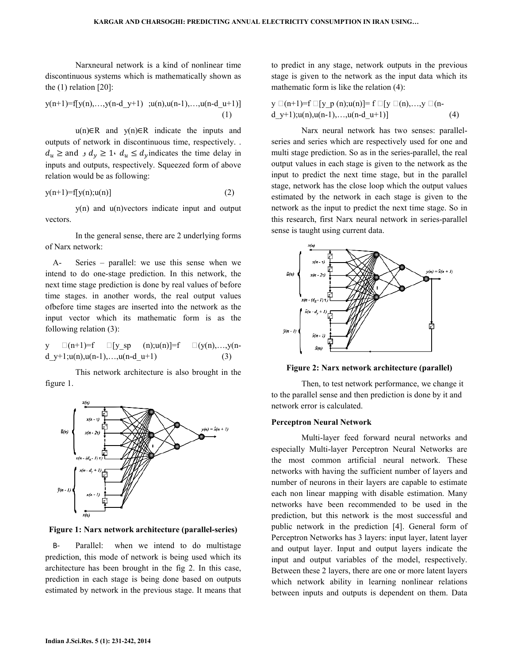Narxneural network is a kind of nonlinear time discontinuous systems which is mathematically shown as the (1) relation [20]:

$$
y(n+1)=f[y(n),...,y(n-d_y+1) ,u(n),u(n-1),...,u(n-d_u+1)]
$$

$$
(1)
$$

 u(n)∈R and y(n)∈R indicate the inputs and outputs of network in discontinuous time, respectively. .  $d_u \geq$  and  $d_y \geq 1$  or  $d_u \leq d_y$  indicates the time delay in inputs and outputs, respectively. Squeezed form of above relation would be as following:

$$
y(n+1)=f[y(n);u(n)]\tag{2}
$$

 y(n) and u(n)vectors indicate input and output vectors.

 In the general sense, there are 2 underlying forms of Narx network:

A- Series – parallel: we use this sense when we intend to do one-stage prediction. In this network, the next time stage prediction is done by real values of before time stages. in another words, the real output values ofbefore time stages are inserted into the network as the input vector which its mathematic form is as the following relation (3):

y  $\Box(n+1)=f$   $\Box[y_sp$   $(n);u(n)]=f$   $\Box(y(n),...,y(n-1))$ d  $y+1;u(n),u(n-1),...,u(n-d_1+1)$  (3)

 This network architecture is also brought in the figure 1.



Figure 1: Narx network architecture (parallel-series)

B- Parallel: when we intend to do multistage prediction, this mode of network is being used which its architecture has been brought in the fig 2. In this case, prediction in each stage is being done based on outputs estimated by network in the previous stage. It means that to predict in any stage, network outputs in the previous stage is given to the network as the input data which its mathematic form is like the relation (4):

$$
y \Box(n+1)=f \Box [y \ p (n);u(n)]=f \Box [y \Box(n),...,y \Box(n-1)+1);u(n),u(n-1),...,u(n-d_1+1)] \qquad (4)
$$

 Narx neural network has two senses: parallelseries and series which are respectively used for one and multi stage prediction. So as in the series-parallel, the real output values in each stage is given to the network as the input to predict the next time stage, but in the parallel stage, network has the close loop which the output values estimated by the network in each stage is given to the network as the input to predict the next time stage. So in this research, first Narx neural network in series-parallel sense is taught using current data.



Figure 2: Narx network architecture (parallel)

 Then, to test network performance, we change it to the parallel sense and then prediction is done by it and network error is calculated.

#### Perceptron Neural Network

 Multi-layer feed forward neural networks and especially Multi-layer Perceptron Neural Networks are the most common artificial neural network. These networks with having the sufficient number of layers and number of neurons in their layers are capable to estimate each non linear mapping with disable estimation. Many networks have been recommended to be used in the prediction, but this network is the most successful and public network in the prediction [4]. General form of Perceptron Networks has 3 layers: input layer, latent layer and output layer. Input and output layers indicate the input and output variables of the model, respectively. Between these 2 layers, there are one or more latent layers which network ability in learning nonlinear relations between inputs and outputs is dependent on them. Data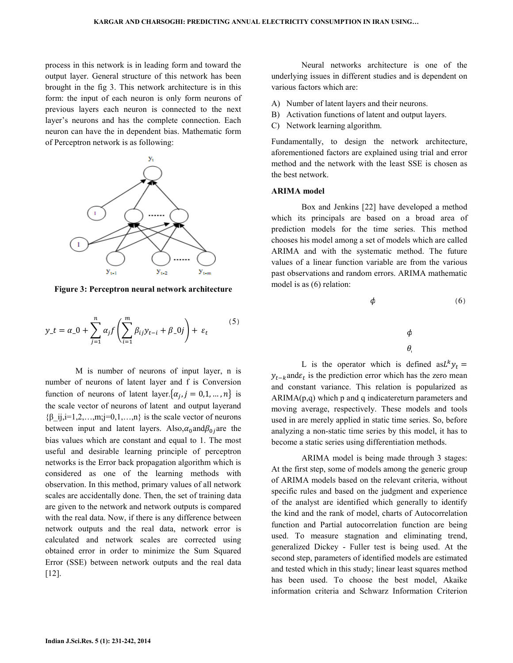process in this network is in leading form and toward the output layer. General structure of this network has been brought in the fig 3. This network architecture is in this form: the input of each neuron is only form neurons of previous layers each neuron is connected to the next layer's neurons and has the complete connection. Each neuron can have the in dependent bias. Mathematic form of Perceptron network is as following:



Figure 3: Perceptron neural network architecture

$$
y_{-}t = \alpha_{-}0 + \sum_{j=1}^{n} \alpha_{j} f\left(\sum_{i=1}^{m} \beta_{ij} y_{t-i} + \beta_{-}0 j\right) + \varepsilon_{t}
$$
 (5)

 M is number of neurons of input layer, n is number of neurons of latent layer and f is Conversion function of neurons of latent layer.  $\{\alpha_j, j = 0, 1, ..., n\}$  is the scale vector of neurons of latent and output layerand  ${\beta_i, i=1,2,...,m; j=0,1,...,n}$  is the scale vector of neurons between input and latent layers. Also,  $\alpha_0$  and  $\beta_0$  are the bias values which are constant and equal to 1. The most useful and desirable learning principle of perceptron networks is the Error back propagation algorithm which is considered as one of the learning methods with observation. In this method, primary values of all network scales are accidentally done. Then, the set of training data are given to the network and network outputs is compared with the real data. Now, if there is any difference between network outputs and the real data, network error is calculated and network scales are corrected using obtained error in order to minimize the Sum Squared Error (SSE) between network outputs and the real data [12].

 Neural networks architecture is one of the underlying issues in different studies and is dependent on various factors which are:

- A) Number of latent layers and their neurons.
- B) Activation functions of latent and output layers.
- C) Network learning algorithm.

Fundamentally, to design the network architecture, aforementioned factors are explained using trial and error method and the network with the least SSE is chosen as the best network.

#### ARIMA model

 Box and Jenkins [22] have developed a method which its principals are based on a broad area of prediction models for the time series. This method chooses his model among a set of models which are called ARIMA and with the systematic method. The future values of a linear function variable are from the various past observations and random errors. ARIMA mathematic model is as (6) relation:



L is the operator which is defined as  $L^k y_t =$  $y_{t-k}$  and  $\varepsilon_t$  is the prediction error which has the zero mean and constant variance. This relation is popularized as  $ARIMA(p,q)$  which p and q indicatereturn parameters and moving average, respectively. These models and tools used in are merely applied in static time series. So, before analyzing a non-static time series by this model, it has to become a static series using differentiation methods.

 ARIMA model is being made through 3 stages: At the first step, some of models among the generic group of ARIMA models based on the relevant criteria, without specific rules and based on the judgment and experience of the analyst are identified which generally to identify the kind and the rank of model, charts of Autocorrelation function and Partial autocorrelation function are being used. To measure stagnation and eliminating trend, generalized Dickey - Fuller test is being used. At the second step, parameters of identified models are estimated and tested which in this study; linear least squares method has been used. To choose the best model, Akaike information criteria and Schwarz Information Criterion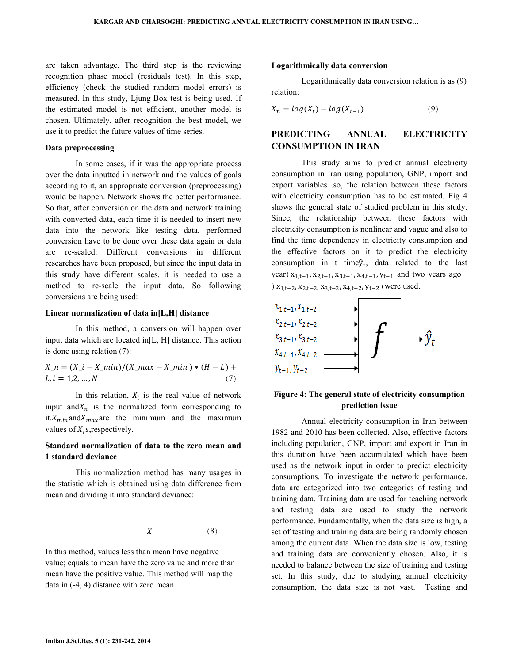are taken advantage. The third step is the reviewing recognition phase model (residuals test). In this step, efficiency (check the studied random model errors) is measured. In this study, Ljung-Box test is being used. If the estimated model is not efficient, another model is chosen. Ultimately, after recognition the best model, we use it to predict the future values of time series.

#### Data preprocessing

 In some cases, if it was the appropriate process over the data inputted in network and the values of goals according to it, an appropriate conversion (preprocessing) would be happen. Network shows the better performance. So that, after conversion on the data and network training with converted data, each time it is needed to insert new data into the network like testing data, performed conversion have to be done over these data again or data are re-scaled. Different conversions in different researches have been proposed, but since the input data in this study have different scales, it is needed to use a method to re-scale the input data. So following conversions are being used:

#### Linear normalization of data in[L,H] distance

 In this method, a conversion will happen over input data which are located in[L, H] distance. This action is done using relation (7):

$$
X_n = (X_i - X_{\text{min}})/(X_{\text{max}} - X_{\text{min}}) * (H - L) + L, i = 1, 2, ..., N
$$
\n(7)

In this relation,  $X_i$  is the real value of network input and  $X_n$  is the normalized form corresponding to it. $X_{min}$  and  $X_{max}$  are the minimum and the maximum values of  $X_i$ s, respectively.

## Standard normalization of data to the zero mean and 1 standard deviance

 This normalization method has many usages in the statistic which is obtained using data difference from mean and dividing it into standard deviance:

$$
X \hspace{1.6cm} (8)
$$

In this method, values less than mean have negative value; equals to mean have the zero value and more than mean have the positive value. This method will map the data in (-4, 4) distance with zero mean.

#### Logarithmically data conversion

 Logarithmically data conversion relation is as (9) relation:

$$
X_n = \log(X_t) - \log(X_{t-1})\tag{9}
$$

## PREDICTING ANNUAL ELECTRICITY CONSUMPTION IN IRAN

 This study aims to predict annual electricity consumption in Iran using population, GNP, import and export variables .so, the relation between these factors with electricity consumption has to be estimated. Fig 4 shows the general state of studied problem in this study. Since, the relationship between these factors with electricity consumption is nonlinear and vague and also to find the time dependency in electricity consumption and the effective factors on it to predict the electricity consumption in t time $\hat{y}_t$ , data related to the last year)  $x_{1,t-1}$ ,  $x_{2,t-1}$ ,  $x_{3,t-1}$ ,  $x_{4,t-1}$ ,  $y_{t-1}$  and two years ago )  $x_{1,t-2}$ ,  $x_{2,t-2}$ ,  $x_{3,t-2}$ ,  $x_{4,t-2}$ ,  $y_{t-2}$  (were used.



## Figure 4: The general state of electricity consumption prediction issue

 Annual electricity consumption in Iran between 1982 and 2010 has been collected. Also, effective factors including population, GNP, import and export in Iran in this duration have been accumulated which have been used as the network input in order to predict electricity consumptions. To investigate the network performance, data are categorized into two categories of testing and training data. Training data are used for teaching network and testing data are used to study the network performance. Fundamentally, when the data size is high, a set of testing and training data are being randomly chosen among the current data. When the data size is low, testing and training data are conveniently chosen. Also, it is needed to balance between the size of training and testing set. In this study, due to studying annual electricity consumption, the data size is not vast. Testing and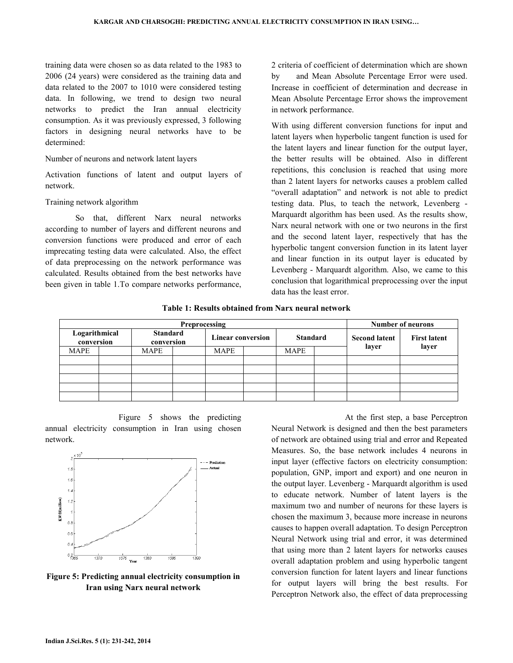training data were chosen so as data related to the 1983 to 2006 (24 years) were considered as the training data and data related to the 2007 to 1010 were considered testing data. In following, we trend to design two neural networks to predict the Iran annual electricity consumption. As it was previously expressed, 3 following factors in designing neural networks have to be determined:

#### Number of neurons and network latent layers

Activation functions of latent and output layers of network.

### Training network algorithm

So that, different Narx neural networks according to number of layers and different neurons and conversion functions were produced and error of each imprecating testing data were calculated. Also, the effect of data preprocessing on the network performance was calculated. Results obtained from the best networks have been given in table 1.To compare networks performance,

by and Mean Absolute Percentage Error were used. Increase in coefficient of determination and decrease in Mean Absolute Percentage Error shows the improvement in network performance.

training data were chosen so as data related to the 1983 to<br>
2007 coefficient of determination which are shown<br>
data related to the 2007 to 1010 were considered as the<br>
data and Mean Absolute Percentage Error were used.<br>
d With using different conversion functions for input and latent layers when hyperbolic tangent function is used for the latent layers and linear function for the output layer, the better results will be obtained. Also in different repetitions, this conclusion is reached that using more than 2 latent layers for networks causes a problem called "overall adaptation" and network is not able to testing data. Plus, to teach the network, Levenberg -Marquardt algorithm has been used. As the results show, Narx neural network with one or two neurons in the first and the second latent layer, respectively that has the hyperbolic tangent conversion function in its latent layer and linear function in its output layer is educated by Levenberg - Marquardt algorithm. Also, we came to this conclusion that logarithmical preprocessing over the input data has the least error. efficient of determination and decrease in<br>e Percentage Error shows the improvement<br>formance.<br>fferent conversion functions for input and<br>hen hyperbolic tangent function is used for<br>rs and linear function for the output lay

|                             | recating testing data were calculated. Also, the effect<br>lata preprocessing on the network performance was<br>ulated. Results obtained from the best networks have<br>n given in table 1. To compare networks performance, |                                                                     | hyperbolic tangent conversion function in its latent layer<br>and linear function in its output layer is educated by<br>Levenberg - Marquardt algorithm. Also, we came to this<br>conclusion that logarithmical preprocessing over the input<br>data has the least error. |                                      |                              |
|-----------------------------|------------------------------------------------------------------------------------------------------------------------------------------------------------------------------------------------------------------------------|---------------------------------------------------------------------|---------------------------------------------------------------------------------------------------------------------------------------------------------------------------------------------------------------------------------------------------------------------------|--------------------------------------|------------------------------|
|                             |                                                                                                                                                                                                                              | Table 1: Results obtained from Narx neural network<br>Preprocessing |                                                                                                                                                                                                                                                                           | <b>Number of neurons</b>             |                              |
| Logarithmical<br>conversion | <b>Standard</b><br>conversion                                                                                                                                                                                                | <b>Linear conversion</b>                                            | <b>Standard</b>                                                                                                                                                                                                                                                           | <b>Second latent</b>                 | <b>First latent</b><br>layer |
| MAPE                        | MAPE                                                                                                                                                                                                                         | MAPE                                                                | MAPE                                                                                                                                                                                                                                                                      | layer                                |                              |
|                             |                                                                                                                                                                                                                              |                                                                     |                                                                                                                                                                                                                                                                           |                                      |                              |
|                             |                                                                                                                                                                                                                              |                                                                     |                                                                                                                                                                                                                                                                           |                                      |                              |
|                             | Figure 5 shows the predicting                                                                                                                                                                                                |                                                                     |                                                                                                                                                                                                                                                                           | At the first step, a base Perceptron |                              |

Figure 5 shows the predicting Figure 5 shows the predicting<br>annual electricity consumption in Iran using chosen network.



Figure 5: Predicting annual electricity consumption in Iran using Narx neural network

Figure 5 shows the predicting<br>
narmual electricity consumption in Iran using chosen<br>
of network is designed and then best externe<br>
Measures. So, the base network includes 4<br>
input layer (effective factors on electricity c Neural Network is designed and then the best parameters of network are obtained using trial and error and Repeated Measures. So, the base network includes 4 neurons in input layer (effective factors on electricity consumption: population, GNP, import and export) and one neuron in the output layer. Levenberg - Marquardt algorithm is used to educate network. Number of latent layers is maximum two and number of neurons for these layers is chosen the maximum 3, because more increase in neurons causes to happen overall adaptation. To design Perceptron Neural Network using trial and error, it was determined that using more than 2 latent layers for networks causes causes to happen overall adaptation. To design Perceptron<br>Neural Network using trial and error, it was determined<br>that using more than 2 latent layers for networks causes<br>overall adaptation problem and using hyperbolic tan conversion function for latent layers and linear functions for output layers will bring the best results. For Perceptron Network also, the effect of data preprocessing mport and export) and one neuron in<br>venberg - Marquardt algorithm is used<br>k. Number of latent layers is the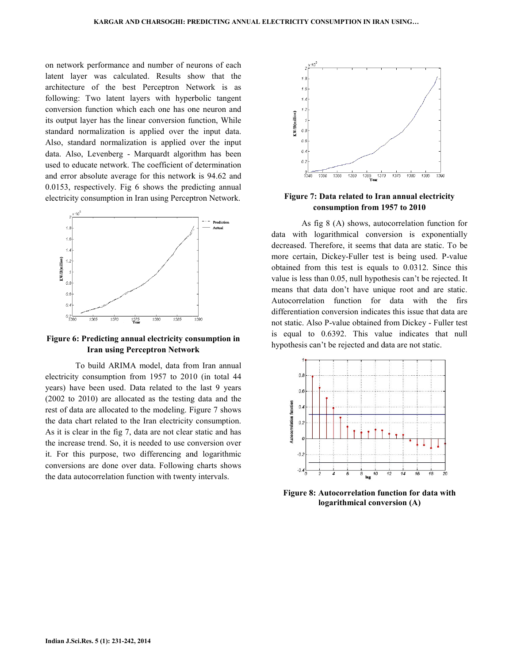on network performance and number of neurons of each latent layer was calculated. Results show that the architecture of the best Perceptron Network is as following: Two latent layers with hyperbolic tangent conversion function which each one has one neuron and its output layer has the linear conversion function, While standard normalization is applied over the input data. Also, standard normalization is applied over the input data. Also, Levenberg - Marquardt algorithm has been used to educate network. The coefficient of determination and error absolute average for this network is 94.62 and 0.0153, respectively. Fig 6 shows the predicting annual electricity consumption in Iran using Perceptron Network. on network performance and number of neurons of latent layer was calculated. Results show that architecture of the best Perceptron Network is following: Two latent layers with hyperbolic tar conversion function which each



## Figure 6: Predicting annual electricity consumption in Figure Iran using Perceptron Network

To build ARIMA model, data from Iran annual electricity consumption from 1957 to 2010 (in total 44 years) have been used. Data related to the last 9 years (2002 to 2010) are allocated as the testing rest of data are allocated to the modeling. Figure 7 shows rest of data are allocated to the modeling. Figure 7 shows the data chart related to the Iran electricity consumption. As it is clear in the fig 7, data are not clear static and has the increase trend. So, it is needed to use conversion over it. For this purpose, two differencing and logarithmic conversions are done over data. Following charts shows the data autocorrelation function with twenty intervals. ARIMA model, data from Iran annual<br>ption from 1957 to 2010 (in total 44<br>used. Data related to the last 9 years<br>e allocated as the testing data and the



# consumption from 1957 to 2010

msumption in Iran using Perceptron Network.<br>
Signs (A) shows, autocorrelation function<br>
on the precedent of Figure 7: Data related for many starts rate. To<br>
data with logarithmical conversion is exponential<br>
data with log As fig 8 (A) shows, autocorrelation function for data with logarithmical conversion is exponentially decreased. Therefore, it seems that data are static. To be more certain, Dickey-Fuller test is being used. P-value obtained from this test is equals to 0.0312. Since this value is less than 0.05, null hypothesis can't be rejected. It means that data don't have unique root and are static. Autocorrelation function for data with the firs differentiation conversion indicates this issue that data are not static. Also P-value obtained from Dickey - Fuller test is equal to 0.6392. This value indicates that null hypothesis can't be rejected and data are not static.



Figure 8: Autocorrelation function for data with logarithmical conversion (A)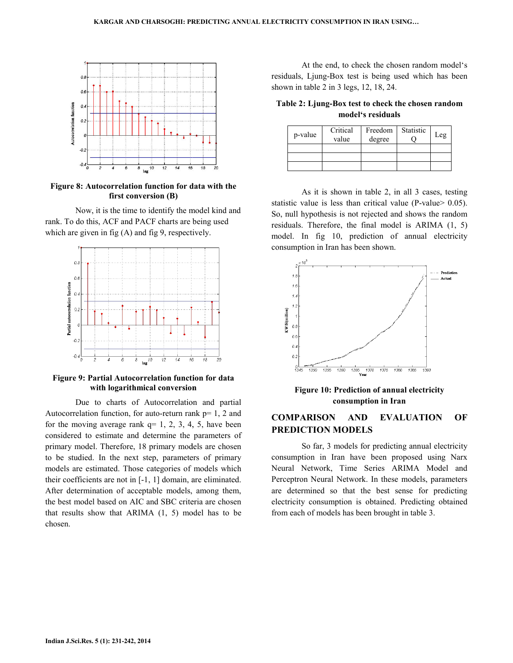

Figure 8: Autocorrelation function for data with the first conversion (B)

Now, it is the time to identify the model kind and Now, it is the time to identify the model kind a rank. To do this, ACF and PACF charts are being used which are given in fig (A) and fig 9, respectively.



Figure 9: Partial Autocorrelation function for data Partial Autocorrelation with logarithmical conversion

Due to charts of Autocorrelation and partial Autocorrelation function, for auto-return rank p= 1, 2 and for the moving average rank  $q=1, 2, 3, 4, 5$ , have been considered to estimate and determine the parameters of primary model. Therefore, 18 primary models are chosen to be studied. In the next step, parameters of primary models are estimated. Those categories of models which their coefficients are not in [-1, 1] domain, are eliminated. After determination of acceptable models, among them, the best model based on AIC and SBC criteria are chosen that results show that ARIMA (1, 5) model has to be chosen. Due to charts of Autocorrelation and partial ocorrelation function, for auto-return rank  $p=1$ , 2 and the moving average rank  $q=1, 2, 3, 4, 5$ , have been sidered to estimate and determine the parameters of nary model. Th residuals, Ljung-Box test is being used which has been shown in table 2 in 3 legs, 12, 18, 24.

Table 2: Ljung-Box test to check the chosen random model's residuals

| p-value | Critical<br>value | Freedom<br>degree | Statistic | Leg |
|---------|-------------------|-------------------|-----------|-----|
|         |                   |                   |           |     |
|         |                   |                   |           |     |
|         |                   |                   |           |     |

As it is shown in table 2, in all 3 cases, testing statistic value is less than critical value (P-value $> 0.05$ ). So, null hypothesis is not rejected and shows the random residuals. Therefore, the final model is ARIMA (1, 5) model. In fig 10, prediction of annual electricity consumption in Iran has been shown.



Figure 10: Prediction of annual electricity consumption in Iran

## COMPARISON AND EVALUATION OF PREDICTION MODELS

So far, 3 models for predicting annual electricity consumption in Iran have been proposed using Narx Neural Network, Time Series Series ARIMA Model and Perceptron Neural Network. In these models, parameters are determined so that the best sense for predicting electricity consumption is obtained. Predicting obtained from each of models has been brought in table 3.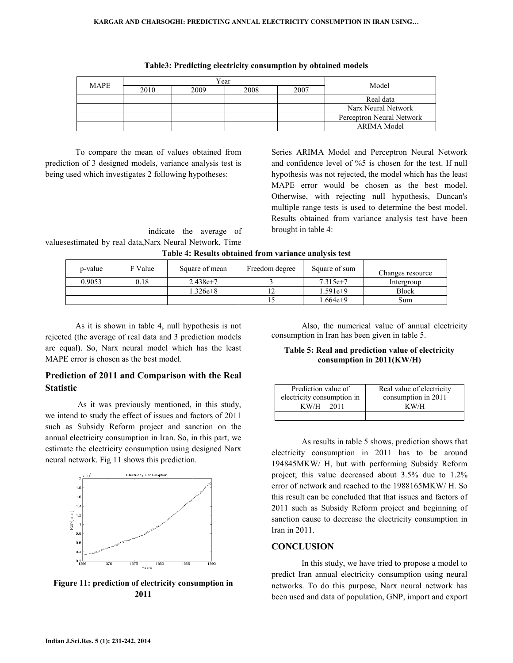| <b>MAPE</b> | Year |      |      |      | Model                     |  |
|-------------|------|------|------|------|---------------------------|--|
|             | 2010 | 2009 | 2008 | 2007 |                           |  |
|             |      |      |      |      | Real data                 |  |
|             |      |      |      |      | Narx Neural Network       |  |
|             |      |      |      |      | Perceptron Neural Network |  |
|             |      |      |      |      | <b>ARIMA</b> Model        |  |

|  | Table3: Predicting electricity consumption by obtained models |  |  |
|--|---------------------------------------------------------------|--|--|
|  |                                                               |  |  |

To compare the mean of values obtained from prediction of 3 designed models, variance analysis test is being used which investigates 2 following hypotheses:

To compare the mean of values obtained from<br>
tion of 3 designed models, variance analysis test is<br>
used which investigates 2 following hypotheses:<br>
used which investigates 2 following hypotheses:<br>
MAPE error would be chose and confidence level of %5 is chosen for the test. If null hypothesis was not rejected, the model which has the least MAPE error would be chosen as the best model. Otherwise, with rejecting null hypothesis, Duncan's multiple range tests is used to determine the best model. Results obtained from variance analysis test have been brought in table 4:

indicate the average of valuesestimated by real data,Narx Neural Network, Time

|  | Table 4: Results obtained from variance analysis test |  |  |  |  |
|--|-------------------------------------------------------|--|--|--|--|
|--|-------------------------------------------------------|--|--|--|--|

| p-value | F Value | Square of mean | Freedom degree | Square of sum | Changes resource |
|---------|---------|----------------|----------------|---------------|------------------|
| 0.9053  | 0.18    | $2.438e+7$     |                | $7.315e+7$    | Intergroup       |
|         |         | $.326e + 8$    |                | 1.591e+9      | <b>Block</b>     |
|         |         |                |                | $.664e+9$     | Sum              |

As it is shown in table 4, null hypothesis is not rejected (the average of real data and 3 prediction models are equal). So, Narx neural model which has the least MAPE error is chosen as the best model.

## Prediction of 2011 and Comparison with the Real Statistic

 As it was previously mentioned, in this study, we intend to study the effect of issues and factors of 2011 such as Subsidy Reform project and sanction on the annual electricity consumption in Iran. So, in this part, we estimate the electricity consumption using designed Narx neural network. Fig 11 shows this prediction. As it is shown in table 4, null hypothesis is not<br>cted (the average of real data and 3 prediction models<br>equal). So, Narx neural model which has the least<br>PE error is chosen as the best model.<br>**ediction of 2011 and Compari** it is shown in table 4, null hypothesis is not<br>
average of real data and 3 prediction models<br>
So, Narx neural model which has the least<br>
Table 5: Real and prediction value of electricity<br>
is chosen as the best model.<br> **Con** 



Figure 11: prediction of electricity consumption in 2011

consumption in Iran has been given in table 5.

#### Table 5: Real and prediction prediction value of electricity consumption in 2011 2011(KW/H)

| Prediction value of        | Real value of electricity |  |  |
|----------------------------|---------------------------|--|--|
| electricity consumption in | consumption in 2011       |  |  |
| KW/H<br>2011               | KW/H                      |  |  |
|                            |                           |  |  |

As results in table 5 shows, prediction shows that electricity consumption in 2011 has to be around 194845MKW/ H, but with performing Subsidy Reform project; this value decreased about 3.5% due to 1.2% error of network and reached to the 1988165MKW/ H H. So this result can be concluded that that issues and factors of 2011 such as Subsidy Reform project and beginning of sanction cause to decrease the electricity consumption in Iran in 2011.

## **CONCLUSION**

In this study, we have tried to propose a a model to predict Iran annual electricity consumption using neural networks. To do this purpose, Narx neural network has been used and data of population, GNP, import and export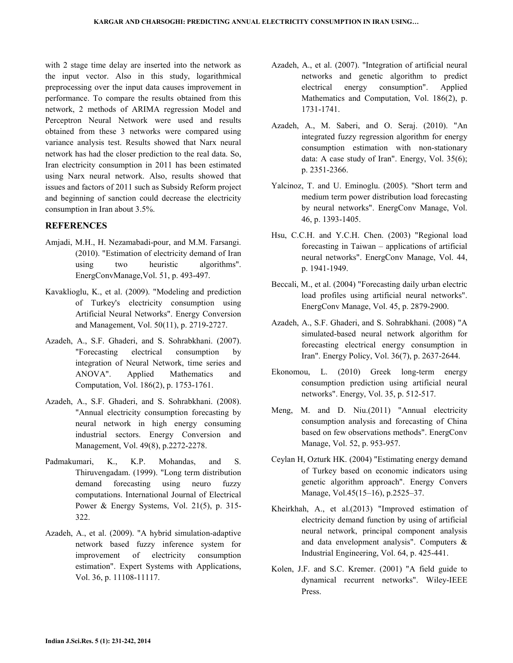with 2 stage time delay are inserted into the network as the input vector. Also in this study, logarithmical preprocessing over the input data causes improvement in performance. To compare the results obtained from this network, 2 methods of ARIMA regression Model and Perceptron Neural Network were used and results obtained from these 3 networks were compared using variance analysis test. Results showed that Narx neural network has had the closer prediction to the real data. So, Iran electricity consumption in 2011 has been estimated using Narx neural network. Also, results showed that issues and factors of 2011 such as Subsidy Reform project and beginning of sanction could decrease the electricity consumption in Iran about 3.5%.

## **REFERENCES**

- Amjadi, M.H., H. Nezamabadi-pour, and M.M. Farsangi. (2010). "Estimation of electricity demand of Iran using two heuristic algorithms". EnergConvManage,Vol. 51, p. 493-497.
- Kavaklioglu, K., et al. (2009). "Modeling and prediction of Turkey's electricity consumption using Artificial Neural Networks". Energy Conversion and Management, Vol. 50(11), p. 2719-2727.
- Azadeh, A., S.F. Ghaderi, and S. Sohrabkhani. (2007). "Forecasting electrical consumption by integration of Neural Network, time series and ANOVA". Applied Mathematics and Computation, Vol. 186(2), p. 1753-1761.
- Azadeh, A., S.F. Ghaderi, and S. Sohrabkhani. (2008). "Annual electricity consumption forecasting by neural network in high energy consuming industrial sectors. Energy Conversion and Management, Vol. 49(8), p.2272-2278.
- Padmakumari, K., K.P. Mohandas, and S. Thiruvengadam. (1999). "Long term distribution demand forecasting using neuro fuzzy computations. International Journal of Electrical Power & Energy Systems, Vol. 21(5), p. 315-322.
- Azadeh, A., et al. (2009). "A hybrid simulation-adaptive network based fuzzy inference system for improvement of electricity consumption estimation". Expert Systems with Applications, Vol. 36, p. 11108-11117.
- Azadeh, A., et al. (2007). "Integration of artificial neural networks and genetic algorithm to predict electrical energy consumption". Applied Mathematics and Computation, Vol. 186(2), p. 1731-1741.
- Azadeh, A., M. Saberi, and O. Seraj. (2010). "An integrated fuzzy regression algorithm for energy consumption estimation with non-stationary data: A case study of Iran". Energy, Vol. 35(6); p. 2351-2366.
- Yalcinoz, T. and U. Eminoglu. (2005). "Short term and medium term power distribution load forecasting by neural networks". EnergConv Manage, Vol. 46, p. 1393-1405.
- Hsu, C.C.H. and Y.C.H. Chen. (2003) "Regional load forecasting in Taiwan – applications of artificial neural networks". EnergConv Manage, Vol. 44, p. 1941-1949.
- Beccali, M., et al. (2004) "Forecasting daily urban electric load profiles using artificial neural networks". EnergConv Manage, Vol. 45, p. 2879-2900.
- Azadeh, A., S.F. Ghaderi, and S. Sohrabkhani. (2008) "A simulated-based neural network algorithm for forecasting electrical energy consumption in Iran". Energy Policy, Vol. 36(7), p. 2637-2644.
- Ekonomou, L. (2010) Greek long-term energy consumption prediction using artificial neural networks". Energy, Vol. 35, p. 512-517.
- Meng, M. and D. Niu.(2011) "Annual electricity consumption analysis and forecasting of China based on few observations methods". EnergConv Manage, Vol. 52, p. 953-957.
- Ceylan H, Ozturk HK. (2004) "Estimating energy demand of Turkey based on economic indicators using genetic algorithm approach". Energy Convers Manage, Vol.45(15–16), p.2525–37.
- Kheirkhah, A., et al.(2013) "Improved estimation of electricity demand function by using of artificial neural network, principal component analysis and data envelopment analysis". Computers & Industrial Engineering, Vol. 64, p. 425-441.
- Kolen, J.F. and S.C. Kremer. (2001) "A field guide to dynamical recurrent networks". Wiley-IEEE Press.